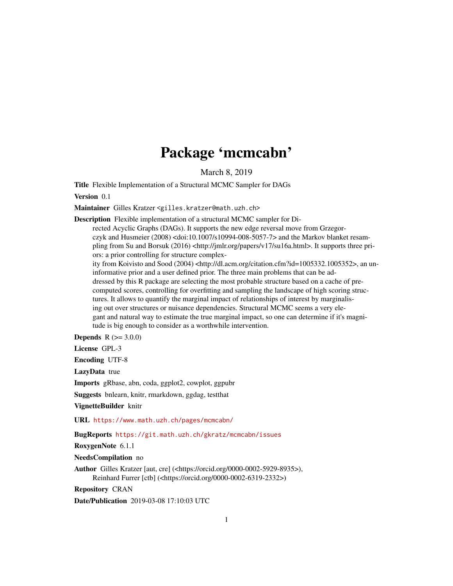## Package 'mcmcabn'

March 8, 2019

<span id="page-0-0"></span>Title Flexible Implementation of a Structural MCMC Sampler for DAGs

Version 0.1

Maintainer Gilles Kratzer <gilles.kratzer@math.uzh.ch>

Description Flexible implementation of a structural MCMC sampler for Di-

rected Acyclic Graphs (DAGs). It supports the new edge reversal move from Grzegorczyk and Husmeier (2008) <doi:10.1007/s10994-008-5057-7> and the Markov blanket resampling from Su and Borsuk (2016) <http://jmlr.org/papers/v17/su16a.html>. It supports three priors: a prior controlling for structure complex-

ity from Koivisto and Sood (2004) <http://dl.acm.org/citation.cfm?id=1005332.1005352>, an uninformative prior and a user defined prior. The three main problems that can be addressed by this R package are selecting the most probable structure based on a cache of precomputed scores, controlling for overfitting and sampling the landscape of high scoring structures. It allows to quantify the marginal impact of relationships of interest by marginalising out over structures or nuisance dependencies. Structural MCMC seems a very elegant and natural way to estimate the true marginal impact, so one can determine if it's magnitude is big enough to consider as a worthwhile intervention.

**Depends**  $R (= 3.0.0)$ 

License GPL-3

Encoding UTF-8

LazyData true

Imports gRbase, abn, coda, ggplot2, cowplot, ggpubr

Suggests bnlearn, knitr, rmarkdown, ggdag, testthat

VignetteBuilder knitr

URL <https://www.math.uzh.ch/pages/mcmcabn/>

BugReports <https://git.math.uzh.ch/gkratz/mcmcabn/issues>

RoxygenNote 6.1.1

NeedsCompilation no

Author Gilles Kratzer [aut, cre] (<https://orcid.org/0000-0002-5929-8935>), Reinhard Furrer [ctb] (<https://orcid.org/0000-0002-6319-2332>)

Repository CRAN

Date/Publication 2019-03-08 17:10:03 UTC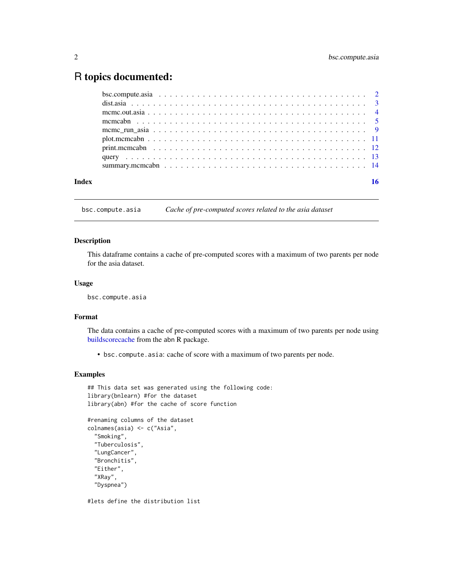### <span id="page-1-0"></span>R topics documented:

| Index |  |
|-------|--|
|       |  |
|       |  |
|       |  |
|       |  |
|       |  |
|       |  |
|       |  |
|       |  |
|       |  |

bsc.compute.asia *Cache of pre-computed scores related to the asia dataset*

#### Description

This dataframe contains a cache of pre-computed scores with a maximum of two parents per node for the asia dataset.

#### Usage

bsc.compute.asia

#### Format

The data contains a cache of pre-computed scores with a maximum of two parents per node using [buildscorecache](#page-0-0) from the abn R package.

• bsc.compute.asia: cache of score with a maximum of two parents per node.

#### Examples

```
## This data set was generated using the following code:
library(bnlearn) #for the dataset
library(abn) #for the cache of score function
```

```
#renaming columns of the dataset
colnames(asia) <- c("Asia",
  "Smoking",
 "Tuberculosis",
 "LungCancer",
 "Bronchitis",
 "Either",
  "XRay",
  "Dyspnea")
```
#lets define the distribution list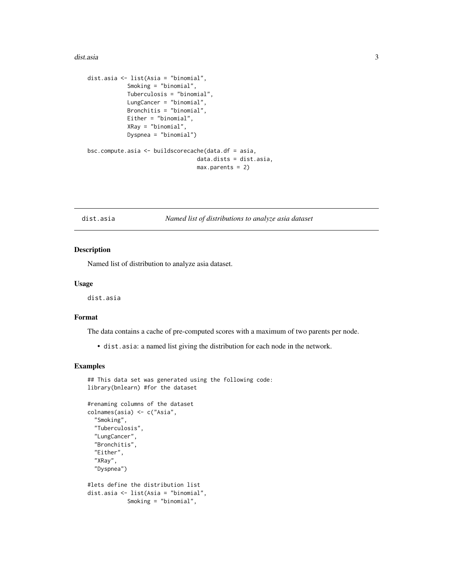#### <span id="page-2-0"></span>dist. asia 3

```
dist.asia <- list(Asia = "binomial",
            Smoking = "binomial",
            Tuberculosis = "binomial",
            LungCancer = "binomial",
            Bronchitis = "binomial",
            Either = "binomial",
            XRay = "binomial",
            Dyspnea = "binomial")
bsc.compute.asia <- buildscorecache(data.df = asia,
                                 data.dists = dist.asia,
                                 max.parents = 2)
```
dist.asia *Named list of distributions to analyze asia dataset*

#### Description

Named list of distribution to analyze asia dataset.

#### Usage

dist.asia

#### Format

The data contains a cache of pre-computed scores with a maximum of two parents per node.

• dist.asia: a named list giving the distribution for each node in the network.

#### Examples

```
## This data set was generated using the following code:
library(bnlearn) #for the dataset
#renaming columns of the dataset
colnames(asia) <- c("Asia",
  "Smoking",
 "Tuberculosis",
 "LungCancer",
 "Bronchitis",
 "Either",
 "XRay",
  "Dyspnea")
#lets define the distribution list
dist.asia <- list(Asia = "binomial",
            Smoking = "binomial",
```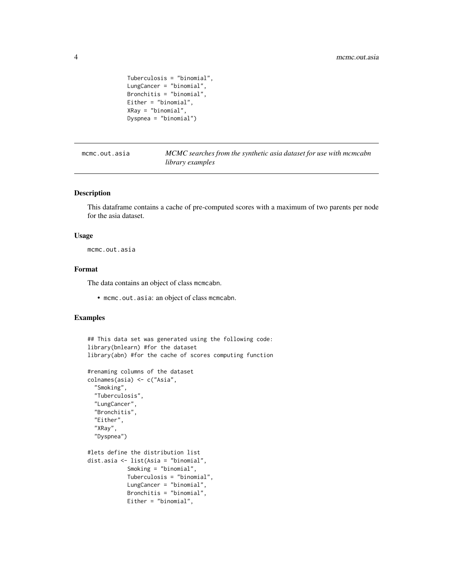```
Tuberculosis = "binomial",
LungCancer = "binomial",
Bronchitis = "binomial",
Either = "binomial",
XRay = "binomial",
Dyspnea = "binomial")
```
mcmc.out.asia *MCMC searches from the synthetic asia dataset for use with mcmcabn library examples*

#### Description

This dataframe contains a cache of pre-computed scores with a maximum of two parents per node for the asia dataset.

#### Usage

mcmc.out.asia

#### Format

The data contains an object of class mcmcabn.

• mcmc.out.asia: an object of class mcmcabn.

#### Examples

```
## This data set was generated using the following code:
library(bnlearn) #for the dataset
library(abn) #for the cache of scores computing function
#renaming columns of the dataset
colnames(asia) <- c("Asia",
  "Smoking",
 "Tuberculosis",
 "LungCancer",
 "Bronchitis",
 "Either",
 "XRay",
  "Dyspnea")
#lets define the distribution list
dist.asia <- list(Asia = "binomial",
            Smoking = "binomial",
            Tuberculosis = "binomial",
            LungCancer = "binomial",
            Bronchitis = "binomial",
            Either = "binomial",
```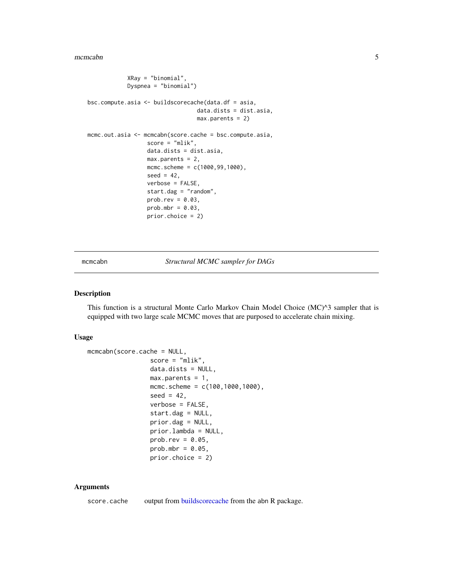```
XRay = "binomial",
            Dyspnea = "binomial")
bsc.compute.asia <- buildscorecache(data.df = asia,
                                 data.dists = dist.asia,
                                 max.parents = 2)
mcmc.out.asia <- mcmcabn(score.cache = bsc.compute.asia,
                  score = "mlik",
                  data.dists = dist.asia,
                  max.parents = 2,
                  mcmc.scheme = c(1000,99,1000),
                  seed = 42,
                  verbose = FALSE,
                  start.dag = "random",
                  prob.rev = 0.03,
                  prob.mbr = 0.03,prior.choice = 2)
```
mcmcabn *Structural MCMC sampler for DAGs*

#### Description

This function is a structural Monte Carlo Markov Chain Model Choice (MC)^3 sampler that is equipped with two large scale MCMC moves that are purposed to accelerate chain mixing.

#### Usage

```
mcmcabn(score.cache = NULL,
                 score = "mlik",
                 data.dists = NULL,
                 max.parents = 1,
                 mcmc.scheme = c(100,1000,1000),
                 seed = 42,
                 verbose = FALSE,
                 start.dag = NULL,
                 prior.dag = NULL,
                 prior.lambda = NULL,
                 prob.rev = 0.05,
                 prob.mbr = 0.05,
                 prior.choice = 2)
```
#### Arguments

score.cache output from [buildscorecache](#page-0-0) from the abn R package.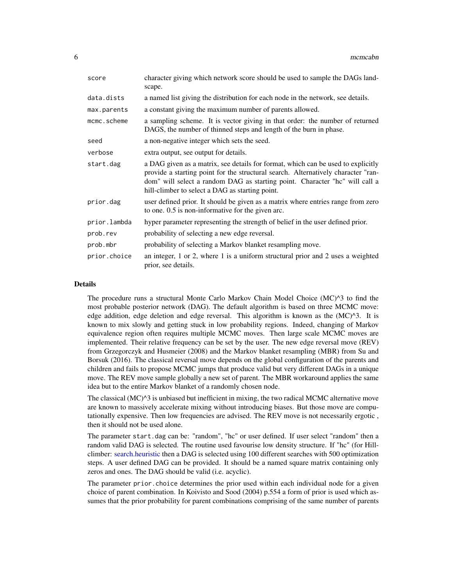<span id="page-5-0"></span>

| score        | character giving which network score should be used to sample the DAGs land-<br>scape.                                                                                                                                                                                                                  |
|--------------|---------------------------------------------------------------------------------------------------------------------------------------------------------------------------------------------------------------------------------------------------------------------------------------------------------|
| data.dists   | a named list giving the distribution for each node in the network, see details.                                                                                                                                                                                                                         |
| max.parents  | a constant giving the maximum number of parents allowed.                                                                                                                                                                                                                                                |
| mcmc.scheme  | a sampling scheme. It is vector giving in that order: the number of returned<br>DAGS, the number of thinned steps and length of the burn in phase.                                                                                                                                                      |
| seed         | a non-negative integer which sets the seed.                                                                                                                                                                                                                                                             |
| verbose      | extra output, see output for details.                                                                                                                                                                                                                                                                   |
| start.dag    | a DAG given as a matrix, see details for format, which can be used to explicitly<br>provide a starting point for the structural search. Alternatively character "ran-<br>dom" will select a random DAG as starting point. Character "hc" will call a<br>hill-climber to select a DAG as starting point. |
| prior.dag    | user defined prior. It should be given as a matrix where entries range from zero<br>to one. 0.5 is non-informative for the given arc.                                                                                                                                                                   |
| prior.lambda | hyper parameter representing the strength of belief in the user defined prior.                                                                                                                                                                                                                          |
| prob.rev     | probability of selecting a new edge reversal.                                                                                                                                                                                                                                                           |
| prob.mbr     | probability of selecting a Markov blanket resampling move.                                                                                                                                                                                                                                              |
| prior.choice | an integer, 1 or 2, where 1 is a uniform structural prior and 2 uses a weighted<br>prior, see details.                                                                                                                                                                                                  |

#### Details

The procedure runs a structural Monte Carlo Markov Chain Model Choice (MC)^3 to find the most probable posterior network (DAG). The default algorithm is based on three MCMC move: edge addition, edge deletion and edge reversal. This algorithm is known as the  $(MC)^{3}$ . It is known to mix slowly and getting stuck in low probability regions. Indeed, changing of Markov equivalence region often requires multiple MCMC moves. Then large scale MCMC moves are implemented. Their relative frequency can be set by the user. The new edge reversal move (REV) from Grzegorczyk and Husmeier (2008) and the Markov blanket resampling (MBR) from Su and Borsuk (2016). The classical reversal move depends on the global configuration of the parents and children and fails to propose MCMC jumps that produce valid but very different DAGs in a unique move. The REV move sample globally a new set of parent. The MBR workaround applies the same idea but to the entire Markov blanket of a randomly chosen node.

The classical  $(MC)^{3}$  is unbiased but inefficient in mixing, the two radical MCMC alternative move are known to massively accelerate mixing without introducing biases. But those move are computationally expensive. Then low frequencies are advised. The REV move is not necessarily ergotic , then it should not be used alone.

The parameter start.dag can be: "random", "hc" or user defined. If user select "random" then a random valid DAG is selected. The routine used favourise low density structure. If "hc" (for Hillclimber: [search.heuristic](#page-0-0) then a DAG is selected using 100 different searches with 500 optimization steps. A user defined DAG can be provided. It should be a named square matrix containing only zeros and ones. The DAG should be valid (i.e. acyclic).

The parameter prior.choice determines the prior used within each individual node for a given choice of parent combination. In Koivisto and Sood (2004) p.554 a form of prior is used which assumes that the prior probability for parent combinations comprising of the same number of parents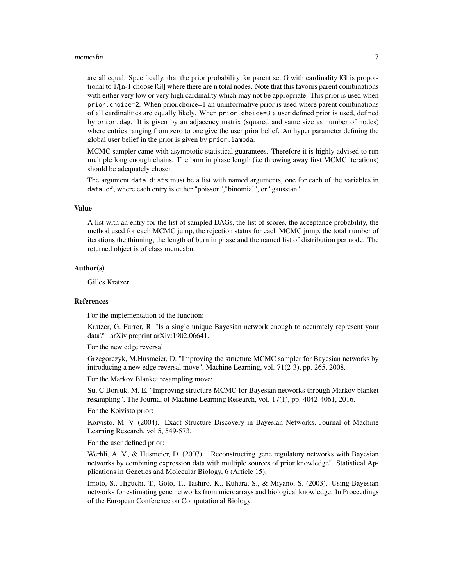#### mcmcabn 7

are all equal. Specifically, that the prior probability for parent set G with cardinality |G| is proportional to 1/[n-1 choose |G|] where there are n total nodes. Note that this favours parent combinations with either very low or very high cardinality which may not be appropriate. This prior is used when prior.choice=2. When prior.choice=1 an uninformative prior is used where parent combinations of all cardinalities are equally likely. When prior.choice=3 a user defined prior is used, defined by prior.dag. It is given by an adjacency matrix (squared and same size as number of nodes) where entries ranging from zero to one give the user prior belief. An hyper parameter defining the global user belief in the prior is given by prior.lambda.

MCMC sampler came with asymptotic statistical guarantees. Therefore it is highly advised to run multiple long enough chains. The burn in phase length (i.e throwing away first MCMC iterations) should be adequately chosen.

The argument data.dists must be a list with named arguments, one for each of the variables in data.df, where each entry is either "poisson","binomial", or "gaussian"

#### Value

A list with an entry for the list of sampled DAGs, the list of scores, the acceptance probability, the method used for each MCMC jump, the rejection status for each MCMC jump, the total number of iterations the thinning, the length of burn in phase and the named list of distribution per node. The returned object is of class mcmcabn.

#### Author(s)

Gilles Kratzer

#### References

For the implementation of the function:

Kratzer, G. Furrer, R. "Is a single unique Bayesian network enough to accurately represent your data?". arXiv preprint arXiv:1902.06641.

For the new edge reversal:

Grzegorczyk, M.Husmeier, D. "Improving the structure MCMC sampler for Bayesian networks by introducing a new edge reversal move", Machine Learning, vol. 71(2-3), pp. 265, 2008.

For the Markov Blanket resampling move:

Su, C.Borsuk, M. E. "Improving structure MCMC for Bayesian networks through Markov blanket resampling", The Journal of Machine Learning Research, vol. 17(1), pp. 4042-4061, 2016.

For the Koivisto prior:

Koivisto, M. V. (2004). Exact Structure Discovery in Bayesian Networks, Journal of Machine Learning Research, vol 5, 549-573.

For the user defined prior:

Werhli, A. V., & Husmeier, D. (2007). "Reconstructing gene regulatory networks with Bayesian networks by combining expression data with multiple sources of prior knowledge". Statistical Applications in Genetics and Molecular Biology, 6 (Article 15).

Imoto, S., Higuchi, T., Goto, T., Tashiro, K., Kuhara, S., & Miyano, S. (2003). Using Bayesian networks for estimating gene networks from microarrays and biological knowledge. In Proceedings of the European Conference on Computational Biology.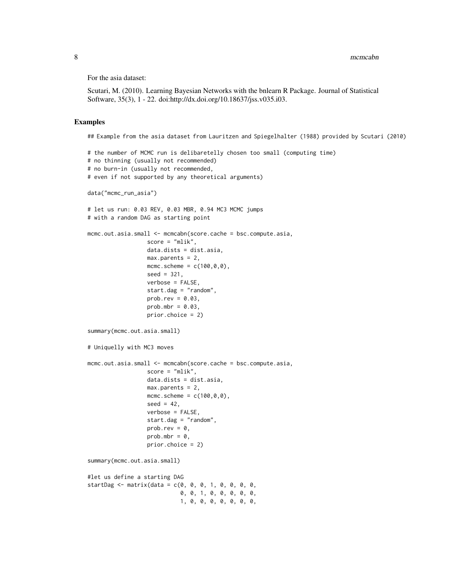For the asia dataset:

Scutari, M. (2010). Learning Bayesian Networks with the bnlearn R Package. Journal of Statistical Software, 35(3), 1 - 22. doi:http://dx.doi.org/10.18637/jss.v035.i03.

#### Examples

## Example from the asia dataset from Lauritzen and Spiegelhalter (1988) provided by Scutari (2010)

```
# the number of MCMC run is delibaretelly chosen too small (computing time)
# no thinning (usually not recommended)
# no burn-in (usually not recommended,
# even if not supported by any theoretical arguments)
data("mcmc_run_asia")
# let us run: 0.03 REV, 0.03 MBR, 0.94 MC3 MCMC jumps
# with a random DAG as starting point
mcmc.out.asia.small <- mcmcabn(score.cache = bsc.compute.asia,
                  score = "mlik",data.dists = dist.asia,
                  max.parents = 2,
                  mcmc.scheme = c(100, 0, 0),
                  seed = 321,
                  verbose = FALSE,
                  start.dag = "random",
                  prob.rev = 0.03,
                  prob.mbr = 0.03,
                  prior.choice = 2)
summary(mcmc.out.asia.small)
# Uniquelly with MC3 moves
mcmc.out.asia.small <- mcmcabn(score.cache = bsc.compute.asia,
                  score = "mlik",
                  data.dists = dist.asia,
                  max.parents = 2,
                  mcmc.scheme = c(100, 0, 0),
                  seed = 42,
                  verbose = FALSE,
                  start.dag = "random",
                  prob.rev = \theta,
                  prob.mbr = 0,
                  prior.choice = 2)
summary(mcmc.out.asia.small)
#let us define a starting DAG
startDag <- matrix(data = c(0, 0, 0, 1, 0, 0, 0, 0, 0)0, 0, 1, 0, 0, 0, 0, 0,
                            1, 0, 0, 0, 0, 0, 0, 0,
```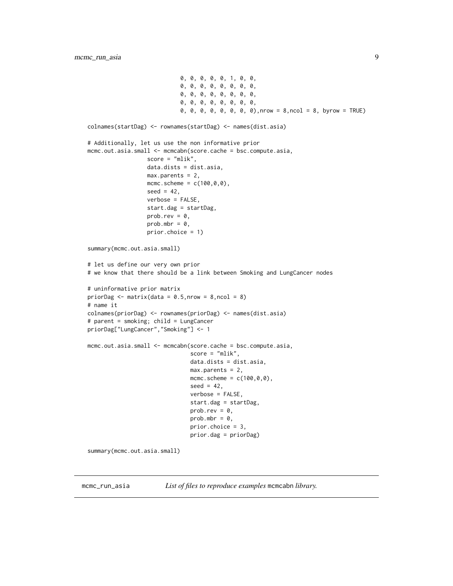```
0, 0, 0, 0, 0, 1, 0, 0,
                            0, 0, 0, 0, 0, 0, 0, 0,
                            0, 0, 0, 0, 0, 0, 0, 0,
                            0, 0, 0, 0, 0, 0, 0, 0,
                            0, 0, 0, 0, 0, 0, 0, 0),nrow = 8,ncol = 8, byrow = TRUE)
colnames(startDag) <- rownames(startDag) <- names(dist.asia)
# Additionally, let us use the non informative prior
mcmc.out.asia.small <- mcmcabn(score.cache = bsc.compute.asia,
                  score = "mlik",
                  data.dists = dist.asia,
                  max.parents = 2,
                  mcmc.scheme = c(100, 0, 0),
                  seed = 42,
                  verbose = FALSE,
                  start.dag = startDag,
                  prob.rev = 0,
                  prob.mbr = 0,
                  prior.choice = 1)
summary(mcmc.out.asia.small)
# let us define our very own prior
# we know that there should be a link between Smoking and LungCancer nodes
# uninformative prior matrix
priorDag \leq matrix(data = 0.5,nrow = 8,ncol = 8)
# name it
colnames(priorDag) <- rownames(priorDag) <- names(dist.asia)
# parent = smoking; child = LungCancer
priorDag["LungCancer","Smoking"] <- 1
mcmc.out.asia.small <- mcmcabn(score.cache = bsc.compute.asia,
                               score = "mlik",
                               data.dists = dist.asia,
                               max.parents = 2,
                               mcmc.scheme = c(100, 0, 0),
                               seed = 42,
                               verbose = FALSE,
                               start.dag = startDag,
                               prob.rev = 0,
                               prob.mbr = 0,prior.choice = 3,
                               prior.dag = priorDag)
summary(mcmc.out.asia.small)
```
mcmc\_run\_asia *List of files to reproduce examples* mcmcabn *library.*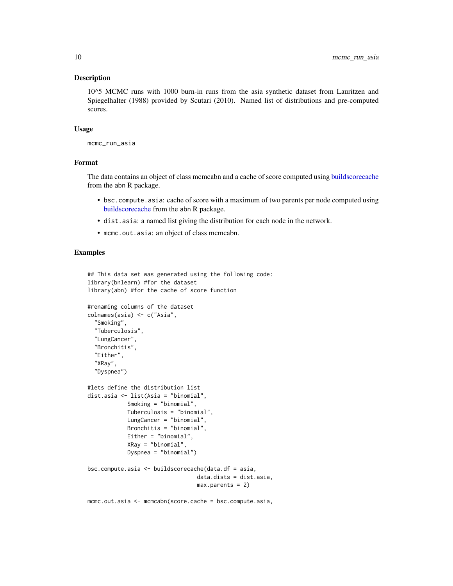#### <span id="page-9-0"></span>Description

10^5 MCMC runs with 1000 burn-in runs from the asia synthetic dataset from Lauritzen and Spiegelhalter (1988) provided by Scutari (2010). Named list of distributions and pre-computed scores.

#### Usage

```
mcmc_run_asia
```
#### Format

The data contains an object of class mcmcabn and a cache of score computed using [buildscorecache](#page-0-0) from the abn R package.

- bsc.compute.asia: cache of score with a maximum of two parents per node computed using [buildscorecache](#page-0-0) from the abn R package.
- dist.asia: a named list giving the distribution for each node in the network.
- mcmc.out.asia: an object of class mcmcabn.

#### Examples

```
## This data set was generated using the following code:
library(bnlearn) #for the dataset
library(abn) #for the cache of score function
#renaming columns of the dataset
colnames(asia) <- c("Asia",
  "Smoking",
 "Tuberculosis",
  "LungCancer",
 "Bronchitis",
  "Either",
  "XRay",
  "Dyspnea")
#lets define the distribution list
dist.asia <- list(Asia = "binomial",
            Smoking = "binomial",
            Tuberculosis = "binomial",
            LungCancer = "binomial",
            Bronchitis = "binomial",
            Either = "binomial",
            XRay = "binomial",
            Dyspnea = "binomial")
bsc.compute.asia <- buildscorecache(data.df = asia,
                                 data.dists = dist.asia,
                                 max.parents = 2)
```
mcmc.out.asia <- mcmcabn(score.cache = bsc.compute.asia,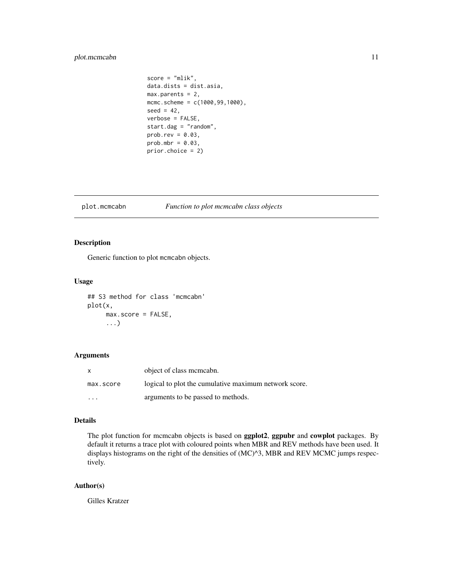#### <span id="page-10-0"></span>plot.mcmcabn 11

```
score = "mlik",
data.dists = dist.asia,
max.parents = 2,
mcmc.scheme = c(1000, 99, 1000),
seed = 42,
verbose = FALSE,
start.dag = "random",
prob.rev = 0.03,
prob.mbr = 0.03,
prior.choice = 2)
```
#### plot.mcmcabn *Function to plot mcmcabn class objects*

#### Description

Generic function to plot mcmcabn objects.

#### Usage

## S3 method for class 'mcmcabn' plot(x, max.score = FALSE, ...)

#### Arguments

| X         | object of class memeabn.                              |
|-----------|-------------------------------------------------------|
| max.score | logical to plot the cumulative maximum network score. |
| $\cdot$   | arguments to be passed to methods.                    |

#### Details

The plot function for mcmcabn objects is based on ggplot2, ggpubr and cowplot packages. By default it returns a trace plot with coloured points when MBR and REV methods have been used. It displays histograms on the right of the densities of (MC)^3, MBR and REV MCMC jumps respectively.

#### Author(s)

Gilles Kratzer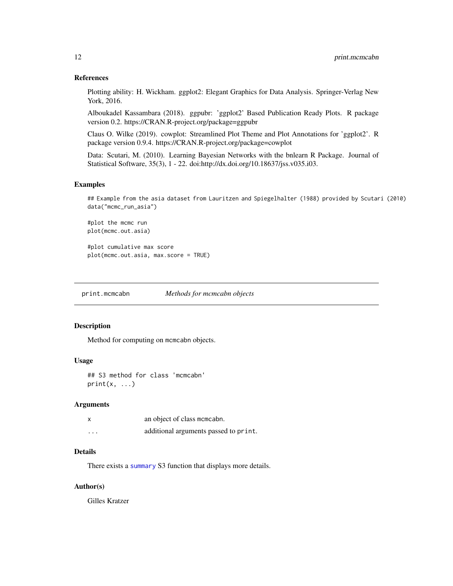#### <span id="page-11-0"></span>References

Plotting ability: H. Wickham. ggplot2: Elegant Graphics for Data Analysis. Springer-Verlag New York, 2016.

Alboukadel Kassambara (2018). ggpubr: 'ggplot2' Based Publication Ready Plots. R package version 0.2. https://CRAN.R-project.org/package=ggpubr

Claus O. Wilke (2019). cowplot: Streamlined Plot Theme and Plot Annotations for 'ggplot2'. R package version 0.9.4. https://CRAN.R-project.org/package=cowplot

Data: Scutari, M. (2010). Learning Bayesian Networks with the bnlearn R Package. Journal of Statistical Software, 35(3), 1 - 22. doi:http://dx.doi.org/10.18637/jss.v035.i03.

#### Examples

## Example from the asia dataset from Lauritzen and Spiegelhalter (1988) provided by Scutari (2010) data("mcmc\_run\_asia")

#plot the mcmc run plot(mcmc.out.asia)

#plot cumulative max score plot(mcmc.out.asia, max.score = TRUE)

print.mcmcabn *Methods for mcmcabn objects*

#### Description

Method for computing on mcmcabn objects.

#### Usage

## S3 method for class 'mcmcabn'  $print(x, \ldots)$ 

#### **Arguments**

|                         | an object of class memerabn.          |
|-------------------------|---------------------------------------|
| $\cdot$ $\cdot$ $\cdot$ | additional arguments passed to print. |

#### Details

There exists a [summary](#page-0-0) S3 function that displays more details.

#### Author(s)

Gilles Kratzer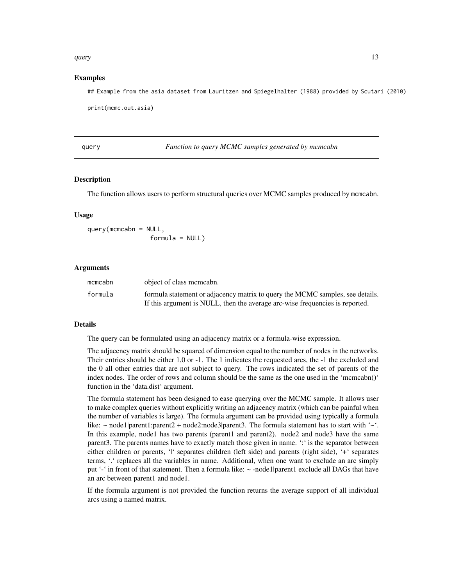#### <span id="page-12-0"></span>query and the contract of the contract of the contract of the contract of the contract of the contract of the contract of the contract of the contract of the contract of the contract of the contract of the contract of the

#### Examples

## Example from the asia dataset from Lauritzen and Spiegelhalter (1988) provided by Scutari (2010) print(mcmc.out.asia)

query *Function to query MCMC samples generated by mcmcabn*

#### Description

The function allows users to perform structural queries over MCMC samples produced by mcmcabn.

#### Usage

 $query(mcmcabn = NULL,$  $formula = NULL)$ 

#### Arguments

| mcmcabn | object of class memeabn.                                                      |
|---------|-------------------------------------------------------------------------------|
| formula | formula statement or adjacency matrix to query the MCMC samples, see details. |
|         | If this argument is NULL, then the average arc-wise frequencies is reported.  |

#### Details

The query can be formulated using an adjacency matrix or a formula-wise expression.

The adjacency matrix should be squared of dimension equal to the number of nodes in the networks. Their entries should be either 1,0 or -1. The 1 indicates the requested arcs, the -1 the excluded and the 0 all other entries that are not subject to query. The rows indicated the set of parents of the index nodes. The order of rows and column should be the same as the one used in the 'mcmcabn()' function in the 'data.dist' argument.

The formula statement has been designed to ease querying over the MCMC sample. It allows user to make complex queries without explicitly writing an adjacency matrix (which can be painful when the number of variables is large). The formula argument can be provided using typically a formula like:  $\sim$  node1|parent1:parent2 + node2:node3|parent3. The formula statement has to start with ' $\sim$ '. In this example, node1 has two parents (parent1 and parent2). node2 and node3 have the same parent3. The parents names have to exactly match those given in name. ':' is the separator between either children or parents, 'l' separates children (left side) and parents (right side), '+' separates terms, '.' replaces all the variables in name. Additional, when one want to exclude an arc simply put '-' in front of that statement. Then a formula like: ~ -node1|parent1 exclude all DAGs that have an arc between parent1 and node1.

If the formula argument is not provided the function returns the average support of all individual arcs using a named matrix.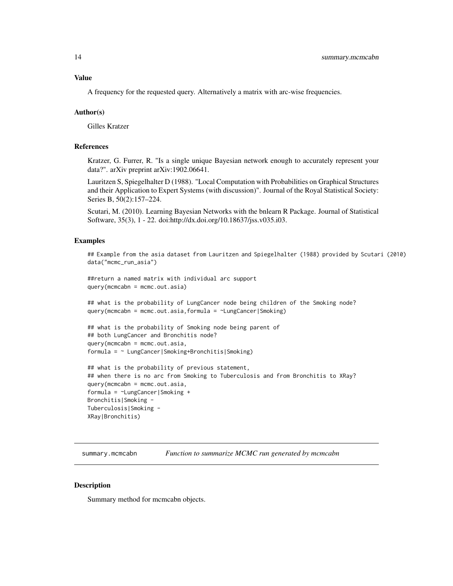<span id="page-13-0"></span>Value

A frequency for the requested query. Alternatively a matrix with arc-wise frequencies.

#### Author(s)

Gilles Kratzer

#### References

Kratzer, G. Furrer, R. "Is a single unique Bayesian network enough to accurately represent your data?". arXiv preprint arXiv:1902.06641.

Lauritzen S, Spiegelhalter D (1988). "Local Computation with Probabilities on Graphical Structures and their Application to Expert Systems (with discussion)". Journal of the Royal Statistical Society: Series B, 50(2):157–224.

Scutari, M. (2010). Learning Bayesian Networks with the bnlearn R Package. Journal of Statistical Software, 35(3), 1 - 22. doi:http://dx.doi.org/10.18637/jss.v035.i03.

#### Examples

```
## Example from the asia dataset from Lauritzen and Spiegelhalter (1988) provided by Scutari (2010)
data("mcmc_run_asia")
```

```
##return a named matrix with individual arc support
query(mcmcabn = mcmc.out.asia)
```
## what is the probability of LungCancer node being children of the Smoking node? query(mcmcabn = mcmc.out.asia,formula = ~LungCancer|Smoking)

```
## what is the probability of Smoking node being parent of
## both LungCancer and Bronchitis node?
query(mcmcabn = mcmc.out.asia,
formula = ~ LungCancer|Smoking+Bronchitis|Smoking)
```

```
## what is the probability of previous statement,
## when there is no arc from Smoking to Tuberculosis and from Bronchitis to XRay?
query(mcmcabn = mcmc.out.asia,
formula = ~LungCancer|Smoking +
Bronchitis|Smoking -
Tuberculosis|Smoking -
XRay|Bronchitis)
```
summary.mcmcabn *Function to summarize MCMC run generated by mcmcabn*

#### **Description**

Summary method for mcmcabn objects.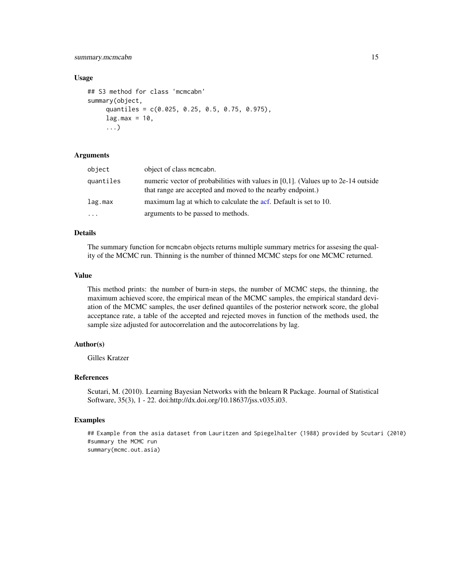#### <span id="page-14-0"></span>summary.mcmcabn 15

#### Usage

```
## S3 method for class 'mcmcabn'
summary(object,
     quantiles = c(0.025, 0.25, 0.5, 0.75, 0.975),
     lag.max = 10,...)
```
#### Arguments

| object    | object of class memerabn.                                                                                                                          |
|-----------|----------------------------------------------------------------------------------------------------------------------------------------------------|
| quantiles | numeric vector of probabilities with values in $[0,1]$ . (Values up to 2e-14 outside<br>that range are accepted and moved to the nearby endpoint.) |
| lag.max   | maximum lag at which to calculate the acf. Default is set to 10.                                                                                   |
| .         | arguments to be passed to methods.                                                                                                                 |

#### Details

The summary function for mcmcabn objects returns multiple summary metrics for assesing the quality of the MCMC run. Thinning is the number of thinned MCMC steps for one MCMC returned.

#### Value

This method prints: the number of burn-in steps, the number of MCMC steps, the thinning, the maximum achieved score, the empirical mean of the MCMC samples, the empirical standard deviation of the MCMC samples, the user defined quantiles of the posterior network score, the global acceptance rate, a table of the accepted and rejected moves in function of the methods used, the sample size adjusted for autocorrelation and the autocorrelations by lag.

#### Author(s)

Gilles Kratzer

#### References

Scutari, M. (2010). Learning Bayesian Networks with the bnlearn R Package. Journal of Statistical Software, 35(3), 1 - 22. doi:http://dx.doi.org/10.18637/jss.v035.i03.

#### Examples

## Example from the asia dataset from Lauritzen and Spiegelhalter (1988) provided by Scutari (2010) #summary the MCMC run summary(mcmc.out.asia)